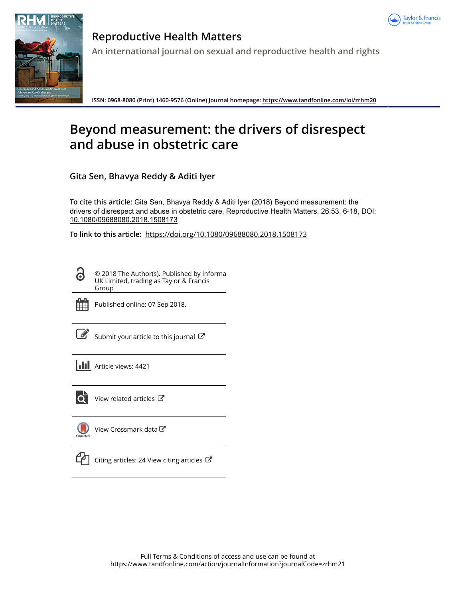



**Reproductive Health Matters An international journal on sexual and reproductive health and rights**

**ISSN: 0968-8080 (Print) 1460-9576 (Online) Journal homepage:<https://www.tandfonline.com/loi/zrhm20>**

# **Beyond measurement: the drivers of disrespect and abuse in obstetric care**

**Gita Sen, Bhavya Reddy & Aditi Iyer**

**To cite this article:** Gita Sen, Bhavya Reddy & Aditi Iyer (2018) Beyond measurement: the drivers of disrespect and abuse in obstetric care, Reproductive Health Matters, 26:53, 6-18, DOI: [10.1080/09688080.2018.1508173](https://www.tandfonline.com/action/showCitFormats?doi=10.1080/09688080.2018.1508173)

**To link to this article:** <https://doi.org/10.1080/09688080.2018.1508173>

© 2018 The Author(s). Published by Informa UK Limited, trading as Taylor & Francis Group



Published online: 07 Sep 2018.

[Submit your article to this journal](https://www.tandfonline.com/action/authorSubmission?journalCode=zrhm21&show=instructions)  $\mathbb{Z}$ 

**III** Article views: 4421



 $\overline{Q}$  [View related articles](https://www.tandfonline.com/doi/mlt/10.1080/09688080.2018.1508173)  $\overline{C}$ 

[View Crossmark data](http://crossmark.crossref.org/dialog/?doi=10.1080/09688080.2018.1508173&domain=pdf&date_stamp=2018-09-07)



 $\Box$  [Citing articles: 24 View citing articles](https://www.tandfonline.com/doi/citedby/10.1080/09688080.2018.1508173#tabModule)  $\Box$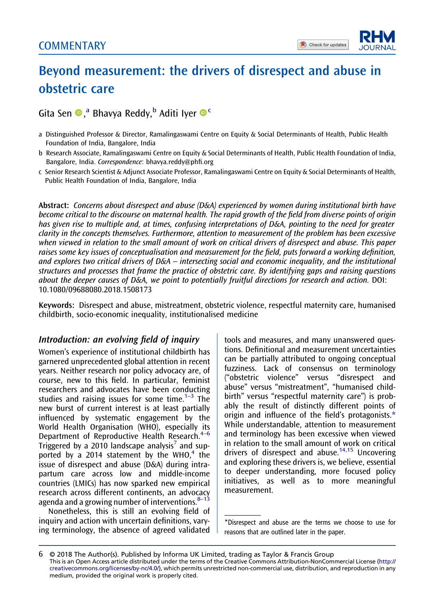## <span id="page-1-0"></span>Beyond measurement: the drivers of disrespect and abuse in obstetric care

## Gita Sen <sup>®</sup>,<sup>a</sup> Bhavya Reddy,<sup>b</sup> Aditi Iyer <sup>®</sup>

- a Distinguished Professor & Director, Ramalingaswami Centre on Equity & Social Determinants of Health, Public Health Foundation of India, Bangalore, India
- b Research Associate, Ramalingaswami Centre on Equity & Social Determinants of Health, Public Health Foundation of India, Bangalore, India. Correspondence: [bhavya.reddy@ph](mailto:bhavya.reddy@phfi.org)fi.org
- c Senior Research Scientist & Adjunct Associate Professor, Ramalingaswami Centre on Equity & Social Determinants of Health, Public Health Foundation of India, Bangalore, India

Abstract: Concerns about disrespect and abuse (D&A) experienced by women during institutional birth have become critical to the discourse on maternal health. The rapid growth of the field from diverse points of origin has given rise to multiple and, at times, confusing interpretations of D&A, pointing to the need for greater clarity in the concepts themselves. Furthermore, attention to measurement of the problem has been excessive when viewed in relation to the small amount of work on critical drivers of disrespect and abuse. This paper raises some key issues of conceptualisation and measurement for the field, puts forward a working definition, and explores two critical drivers of D&A – intersecting social and economic inequality, and the institutional structures and processes that frame the practice of obstetric care. By identifying gaps and raising questions about the deeper causes of D&A, we point to potentially fruitful directions for research and action. DOI: 10.1080/09688080.2018.1508173

Keywords: Disrespect and abuse, mistreatment, obstetric violence, respectful maternity care, humanised childbirth, socio-economic inequality, institutionalised medicine

#### Introduction: an evolving field of inquiry

Women's experience of institutional childbirth has garnered unprecedented global attention in recent years. Neither research nor policy advocacy are, of course, new to this field. In particular, feminist researchers and advocates have been conducting studies and raising issues for some time.<sup>1–3</sup> The new burst of current interest is at least partially influenced by systematic engagement by the World Health Organisation (WHO), especially its Department of Reproductive Health Research.<sup>4-6</sup> Triggered by a 2010 landscape analysis<sup>[7](#page-10-0)</sup> and sup-ported by a 201[4](#page-10-0) statement by the WHO, $4$  the issue of disrespect and abuse (D&A) during intrapartum care across low and middle-income countries (LMICs) has now sparked new empirical research across different continents, an advocacy agenda and a growing number of interventions. $8-13$ 

Nonetheless, this is still an evolving field of inquiry and action with uncertain definitions, varying terminology, the absence of agreed validated

tools and measures, and many unanswered questions. Definitional and measurement uncertainties can be partially attributed to ongoing conceptual fuzziness. Lack of consensus on terminology ("obstetric violence" versus "disrespect and abuse" versus "mistreatment", "humanised childbirth" versus "respectful maternity care") is probably the result of distinctly different points of origin and influence of the field's protagonists.\* While understandable, attention to measurement and terminology has been excessive when viewed in relation to the small amount of work on critical drivers of disrespect and abuse.<sup>[14,](#page-10-0)[15](#page-11-0)</sup> Uncovering and exploring these drivers is, we believe, essential to deeper understanding, more focused policy initiatives, as well as to more meaningful measurement.

<sup>\*</sup>Disrespect and abuse are the terms we choose to use for reasons that are outlined later in the paper.

<sup>6</sup> © 2018 The Author(s). Published by Informa UK Limited, trading as Taylor & Francis Group This is an Open Access article distributed under the terms of the Creative Commons Attribution-NonCommercial License [\(http://](http://creativecommons.org/licenses/by-nc/4.0/) [creativecommons.org/licenses/by-nc/4.0/\)](http://creativecommons.org/licenses/by-nc/4.0/), which permits unrestricted non-commercial use, distribution, and reproduction in any medium, provided the original work is properly cited.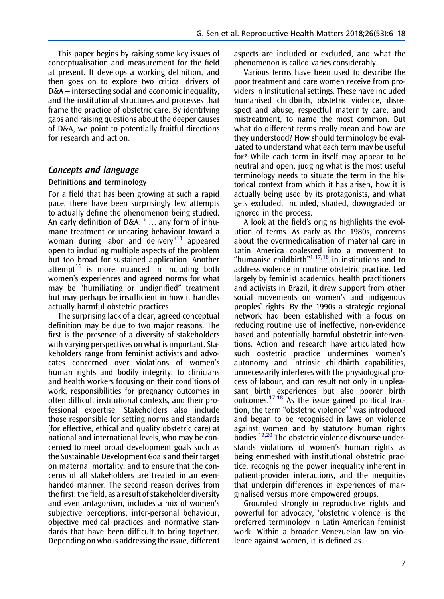<span id="page-2-0"></span>This paper begins by raising some key issues of conceptualisation and measurement for the field at present. It develops a working definition, and then goes on to explore two critical drivers of D&A – intersecting social and economic inequality, and the institutional structures and processes that frame the practice of obstetric care. By identifying gaps and raising questions about the deeper causes of D&A, we point to potentially fruitful directions for research and action.

### Concepts and language

#### Definitions and terminology

For a field that has been growing at such a rapid pace, there have been surprisingly few attempts to actually define the phenomenon being studied. An early definition of D&A: " … any form of inhumane treatment or uncaring behaviour toward a woman during labor and delivery"<sup>[11](#page-10-0)</sup> appeared open to including multiple aspects of the problem but too broad for sustained application. Another attempt<sup>[16](#page-11-0)</sup> is more nuanced in including both women's experiences and agreed norms for what may be "humiliating or undignified" treatment but may perhaps be insufficient in how it handles actually harmful obstetric practices.

The surprising lack of a clear, agreed conceptual definition may be due to two major reasons. The first is the presence of a diversity of stakeholders with varying perspectives on what is important. Stakeholders range from feminist activists and advocates concerned over violations of women's human rights and bodily integrity, to clinicians and health workers focusing on their conditions of work, responsibilities for pregnancy outcomes in often difficult institutional contexts, and their professional expertise. Stakeholders also include those responsible for setting norms and standards (for effective, ethical and quality obstetric care) at national and international levels, who may be concerned to meet broad development goals such as the Sustainable Development Goals and their target on maternal mortality, and to ensure that the concerns of all stakeholders are treated in an evenhanded manner. The second reason derives from the first: the field, as a result of stakeholder diversity and even antagonism, includes a mix of women's subjective perceptions, inter-personal behaviour, objective medical practices and normative standards that have been difficult to bring together. Depending on who is addressing the issue, different aspects are included or excluded, and what the phenomenon is called varies considerably.

Various terms have been used to describe the poor treatment and care women receive from providers in institutional settings. These have included humanised childbirth, obstetric violence, disrespect and abuse, respectful maternity care, and mistreatment, to name the most common. But what do different terms really mean and how are they understood? How should terminology be evaluated to understand what each term may be useful for? While each term in itself may appear to be neutral and open, judging what is the most useful terminology needs to situate the term in the historical context from which it has arisen, how it is actually being used by its protagonists, and what gets excluded, included, shaded, downgraded or ignored in the process.

A look at the field's origins highlights the evolution of terms. As early as the 1980s, concerns about the overmedicalisation of maternal care in Latin America coalesced into a movement to "humanise childbirth" $1,17,18$  $1,17,18$  $1,17,18$  $1,17,18$  in institutions and to address violence in routine obstetric practice. Led largely by feminist academics, health practitioners and activists in Brazil, it drew support from other social movements on women's and indigenous peoples' rights. By the 1990s a strategic regional network had been established with a focus on reducing routine use of ineffective, non-evidence based and potentially harmful obstetric interventions. Action and research have articulated how such obstetric practice undermines women's autonomy and intrinsic childbirth capabilities, unnecessarily interferes with the physiological process of labour, and can result not only in unpleasant birth experiences but also poorer birth outcomes. $17,18$  As the issue gained political traction, the term "obstetric violence" [1](#page-10-0) was introduced and began to be recognised in laws on violence against women and by statutory human rights bodies.<sup>[19,20](#page-11-0)</sup> The obstetric violence discourse understands violations of women's human rights as being enmeshed with institutional obstetric practice, recognising the power inequality inherent in patient-provider interactions, and the inequities that underpin differences in experiences of marginalised versus more empowered groups.

Grounded strongly in reproductive rights and powerful for advocacy, 'obstetric violence' is the preferred terminology in Latin American feminist work. Within a broader Venezuelan law on violence against women, it is defined as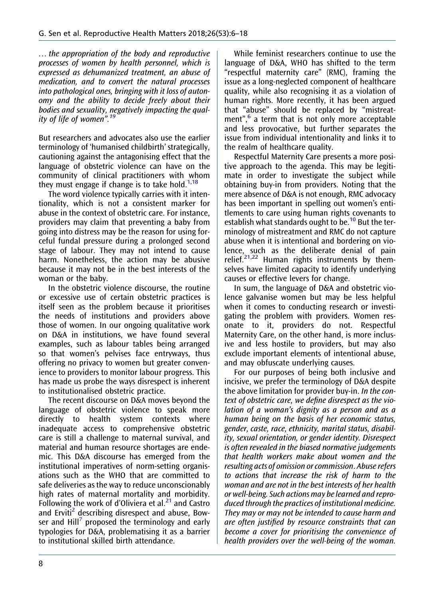<span id="page-3-0"></span>… the appropriation of the body and reproductive processes of women by health personnel, which is expressed as dehumanized treatment, an abuse of medication, and to convert the natural processes into pathological ones, bringing with it loss of autonomy and the ability to decide freely about their bodies and sexuality, negatively impacting the qual-ity of life of women".<sup>[19](#page-11-0)</sup>

But researchers and advocates also use the earlier terminology of 'humanised childbirth' strategically, cautioning against the antagonising effect that the language of obstetric violence can have on the community of clinical practitioners with whom they must engage if change is to take hold.<sup>[1](#page-10-0)[,18](#page-11-0)</sup>

The word violence typically carries with it intentionality, which is not a consistent marker for abuse in the context of obstetric care. For instance, providers may claim that preventing a baby from going into distress may be the reason for using forceful fundal pressure during a prolonged second stage of labour. They may not intend to cause harm. Nonetheless, the action may be abusive because it may not be in the best interests of the woman or the baby.

In the obstetric violence discourse, the routine or excessive use of certain obstetric practices is itself seen as the problem because it prioritises the needs of institutions and providers above those of women. In our ongoing qualitative work on D&A in institutions, we have found several examples, such as labour tables being arranged so that women's pelvises face entryways, thus offering no privacy to women but greater convenience to providers to monitor labour progress. This has made us probe the ways disrespect is inherent to institutionalised obstetric practice.

The recent discourse on D&A moves beyond the language of obstetric violence to speak more directly to health system contexts where inadequate access to comprehensive obstetric care is still a challenge to maternal survival, and material and human resource shortages are endemic. This D&A discourse has emerged from the institutional imperatives of norm-setting organisations such as the WHO that are committed to safe deliveries as the way to reduce unconscionably high rates of maternal mortality and morbidity. Following the work of d'Oliviera et al.<sup>[21](#page-11-0)</sup> and Castro and Erviti<sup>[2](#page-10-0)</sup> describing disrespect and abuse, Bowser and  $Hill^7$  $Hill^7$  proposed the terminology and early typologies for D&A, problematising it as a barrier to institutional skilled birth attendance.

While feminist researchers continue to use the language of D&A, WHO has shifted to the term "respectful maternity care" (RMC), framing the issue as a long-neglected component of healthcare quality, while also recognising it as a violation of human rights. More recently, it has been argued that "abuse" should be replaced by "mistreat-ment",<sup>[6](#page-10-0)</sup> a term that is not only more acceptable and less provocative, but further separates the issue from individual intentionality and links it to the realm of healthcare quality.

Respectful Maternity Care presents a more positive approach to the agenda. This may be legitimate in order to investigate the subject while obtaining buy-in from providers. Noting that the mere absence of D&A is not enough, RMC advocacy has been important in spelling out women's entitlements to care using human rights covenants to establish what standards ought to be.<sup>[10](#page-10-0)</sup> But the terminology of mistreatment and RMC do not capture abuse when it is intentional and bordering on violence, such as the deliberate denial of pain relief.<sup>[21](#page-11-0),[22](#page-11-0)</sup> Human rights instruments by themselves have limited capacity to identify underlying causes or effective levers for change.

In sum, the language of D&A and obstetric violence galvanise women but may be less helpful when it comes to conducting research or investigating the problem with providers. Women resonate to it, providers do not. Respectful Maternity Care, on the other hand, is more inclusive and less hostile to providers, but may also exclude important elements of intentional abuse, and may obfuscate underlying causes.

For our purposes of being both inclusive and incisive, we prefer the terminology of D&A despite the above limitation for provider buy-in. In the context of obstetric care, we define disrespect as the violation of a woman's dignity as a person and as a human being on the basis of her economic status, gender, caste, race, ethnicity, marital status, disability, sexual orientation, or gender identity. Disrespect is often revealed in the biased normative judgements that health workers make about women and the resulting acts of omission or commission. Abuse refers to actions that increase the risk of harm to the woman and are not in the best interests of her health or well-being. Such actions may be learned and reproduced through the practices of institutional medicine. They may or may not be intended to cause harm and are often justified by resource constraints that can become a cover for prioritising the convenience of health providers over the well-being of the woman.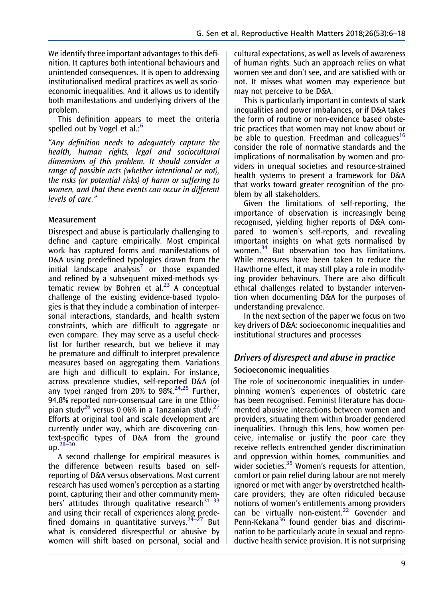<span id="page-4-0"></span>We identify three important advantages to this definition. It captures both intentional behaviours and unintended consequences. It is open to addressing institutionalised medical practices as well as socioeconomic inequalities. And it allows us to identify both manifestations and underlying drivers of the problem.

This definition appears to meet the criteria spelled out by Vogel et al.:<sup>[6](#page-10-0)</sup>

"Any definition needs to adequately capture the health, human rights, legal and sociocultural dimensions of this problem. It should consider a range of possible acts (whether intentional or not), the risks (or potential risks) of harm or suffering to women, and that these events can occur in different levels of care."

#### Measurement

Disrespect and abuse is particularly challenging to define and capture empirically. Most empirical work has captured forms and manifestations of D&A using predefined typologies drawn from the initial landscape analysis<sup>[7](#page-10-0)</sup> or those expanded and refined by a subsequent mixed-methods systematic review by Bohren et al. $^{23}$  $^{23}$  $^{23}$  A conceptual challenge of the existing evidence-based typologies is that they include a combination of interpersonal interactions, standards, and health system constraints, which are difficult to aggregate or even compare. They may serve as a useful checklist for further research, but we believe it may be premature and difficult to interpret prevalence measures based on aggregating them. Variations are high and difficult to explain. For instance, across prevalence studies, self-reported D&A (of any type) ranged from 20% to  $98\%^{24,25}$  $98\%^{24,25}$  $98\%^{24,25}$  Further, 94.8% reported non-consensual care in one Ethio-pian study<sup>[26](#page-11-0)</sup> versus 0.06% in a Tanzanian study.<sup>[27](#page-11-0)</sup> Efforts at original tool and scale development are currently under way, which are discovering context-specific types of D&A from the ground  $up.<sup>28–30</sup>$ 

A second challenge for empirical measures is the difference between results based on selfreporting of D&A versus observations. Most current research has used women's perception as a starting point, capturing their and other community members' attitudes through qualitative research $31-33$ and using their recall of experiences along predefined domains in quantitative surveys.<sup>24–27</sup> But what is considered disrespectful or abusive by women will shift based on personal, social and cultural expectations, as well as levels of awareness of human rights. Such an approach relies on what women see and don't see, and are satisfied with or not. It misses what women may experience but may not perceive to be D&A.

This is particularly important in contexts of stark inequalities and power imbalances, or if D&A takes the form of routine or non-evidence based obstetric practices that women may not know about or be able to question. Freedman and colleagues<sup>[16](#page-11-0)</sup> consider the role of normative standards and the implications of normalisation by women and providers in unequal societies and resource-strained health systems to present a framework for D&A that works toward greater recognition of the problem by all stakeholders.

Given the limitations of self-reporting, the importance of observation is increasingly being recognised, yielding higher reports of D&A compared to women's self-reports, and revealing important insights on what gets normalised by women.<sup>[34](#page-11-0)</sup> But observation too has limitations. While measures have been taken to reduce the Hawthorne effect, it may still play a role in modifying provider behaviours. There are also difficult ethical challenges related to bystander intervention when documenting D&A for the purposes of understanding prevalence.

In the next section of the paper we focus on two key drivers of D&A: socioeconomic inequalities and institutional structures and processes.

## Drivers of disrespect and abuse in practice Socioeconomic inequalities

The role of socioeconomic inequalities in underpinning women's experiences of obstetric care has been recognised. Feminist literature has documented abusive interactions between women and providers, situating them within broader gendered inequalities. Through this lens, how women perceive, internalise or justify the poor care they receive reflects entrenched gender discrimination and oppression within homes, communities and wider societies.<sup>[35](#page-11-0)</sup> Women's requests for attention, comfort or pain relief during labour are not merely ignored or met with anger by overstretched healthcare providers; they are often ridiculed because notions of women's entitlements among providers can be virtually non-existent.<sup>[22](#page-11-0)</sup> Govender and Penn-Kekana<sup>[36](#page-11-0)</sup> found gender bias and discrimination to be particularly acute in sexual and reproductive health service provision. It is not surprising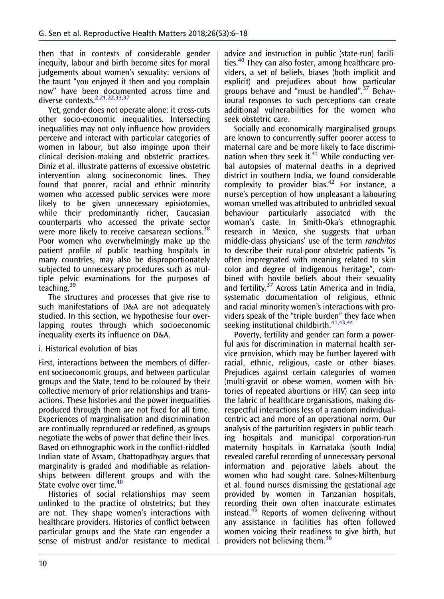<span id="page-5-0"></span>then that in contexts of considerable gender inequity, labour and birth become sites for moral judgements about women's sexuality: versions of the taunt "you enjoyed it then and you complain now" have been documented across time and diverse contexts.<sup>[2](#page-10-0)[,21,22,33,37](#page-11-0)</sup>

Yet, gender does not operate alone: it cross-cuts other socio-economic inequalities. Intersecting inequalities may not only influence how providers perceive and interact with particular categories of women in labour, but also impinge upon their clinical decision-making and obstetric practices. Diniz et al. illustrate patterns of excessive obstetric intervention along socioeconomic lines. They found that poorer, racial and ethnic minority women who accessed public services were more likely to be given unnecessary episiotomies, while their predominantly richer, Caucasian counterparts who accessed the private sector were more likely to receive caesarean sections.<sup>[38](#page-11-0)</sup> Poor women who overwhelmingly make up the patient profile of public teaching hospitals in many countries, may also be disproportionately subjected to unnecessary procedures such as multiple pelvic examinations for the purposes of teaching.<sup>[39](#page-11-0)</sup>

The structures and processes that give rise to such manifestations of D&A are not adequately studied. In this section, we hypothesise four overlapping routes through which socioeconomic inequality exerts its influence on D&A.

#### i. Historical evolution of bias

First, interactions between the members of different socioeconomic groups, and between particular groups and the State, tend to be coloured by their collective memory of prior relationships and transactions. These histories and the power inequalities produced through them are not fixed for all time. Experiences of marginalisation and discrimination are continually reproduced or redefined, as groups negotiate the webs of power that define their lives. Based on ethnographic work in the conflict-riddled Indian state of Assam, Chattopadhyay argues that marginality is graded and modifiable as relationships between different groups and with the State evolve over time.<sup>[40](#page-11-0)</sup>

Histories of social relationships may seem unlinked to the practice of obstetrics; but they are not. They shape women's interactions with healthcare providers. Histories of conflict between particular groups and the State can engender a sense of mistrust and/or resistance to medical

advice and instruction in public (state-run) facilities.[40](#page-11-0) They can also foster, among healthcare providers, a set of beliefs, biases (both implicit and explicit) and prejudices about how particular groups behave and "must be handled".<sup>[37](#page-11-0)</sup> Behavioural responses to such perceptions can create additional vulnerabilities for the women who seek obstetric care.

Socially and economically marginalised groups are known to concurrently suffer poorer access to maternal care and be more likely to face discrimination when they seek it. $41$  While conducting verbal autopsies of maternal deaths in a deprived district in southern India, we found considerable complexity to provider bias. $42$  For instance, a nurse's perception of how unpleasant a labouring woman smelled was attributed to unbridled sexual behaviour particularly associated with the woman's caste. In Smith-Oka's ethnographic research in Mexico, she suggests that urban middle-class physicians' use of the term ranchitos to describe their rural-poor obstetric patients "is often impregnated with meaning related to skin color and degree of indigenous heritage", combined with hostile beliefs about their sexuality and fertility.<sup>[37](#page-11-0)</sup> Across Latin America and in India, systematic documentation of religious, ethnic and racial minority women's interactions with providers speak of the "triple burden" they face when seeking institutional childbirth.<sup>41,43,44</sup>

Poverty, fertility and gender can form a powerful axis for discrimination in maternal health service provision, which may be further layered with racial, ethnic, religious, caste or other biases. Prejudices against certain categories of women (multi-gravid or obese women, women with histories of repeated abortions or HIV) can seep into the fabric of healthcare organisations, making disrespectful interactions less of a random individualcentric act and more of an operational norm. Our analysis of the parturition registers in public teaching hospitals and municipal corporation-run maternity hospitals in Karnataka (south India) revealed careful recording of unnecessary personal information and pejorative labels about the women who had sought care. Solnes-Miltenburg et al. found nurses dismissing the gestational age provided by women in Tanzanian hospitals, recording their own often inaccurate estimates instead.[45](#page-12-0) Reports of women delivering without any assistance in facilities has often followed women voicing their readiness to give birth, but providers not believing them.<sup>[30](#page-11-0)</sup>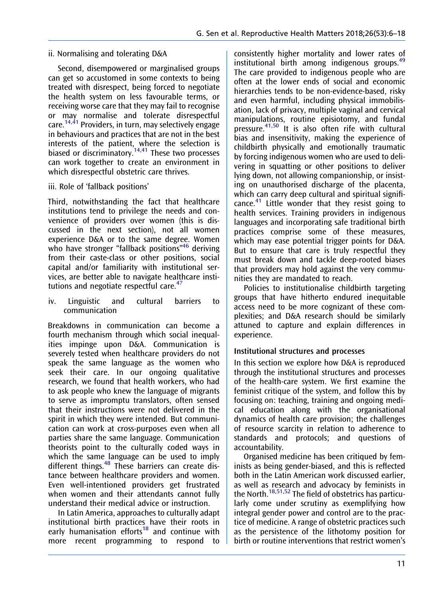#### <span id="page-6-0"></span>ii. Normalising and tolerating D&A

Second, disempowered or marginalised groups can get so accustomed in some contexts to being treated with disrespect, being forced to negotiate the health system on less favourable terms, or receiving worse care that they may fail to recognise or may normalise and tolerate disrespectful care.<sup>[14](#page-10-0)[,41](#page-12-0)</sup> Providers, in turn, may selectively engage in behaviours and practices that are not in the best interests of the patient, where the selection is biased or discriminatory.<sup>[14](#page-10-0)[,41](#page-12-0)</sup> These two processes can work together to create an environment in which disrespectful obstetric care thrives.

#### iii. Role of 'fallback positions'

Third, notwithstanding the fact that healthcare institutions tend to privilege the needs and convenience of providers over women (this is discussed in the next section), not all women experience D&A or to the same degree. Women who have stronger "fallback positions"<sup>[46](#page-12-0)</sup> deriving from their caste-class or other positions, social capital and/or familiarity with institutional services, are better able to navigate healthcare insti-tutions and negotiate respectful care.<sup>[47](#page-12-0)</sup>

iv. Linguistic and cultural barriers to communication

Breakdowns in communication can become a fourth mechanism through which social inequalities impinge upon D&A. Communication is severely tested when healthcare providers do not speak the same language as the women who seek their care. In our ongoing qualitative research, we found that health workers, who had to ask people who knew the language of migrants to serve as impromptu translators, often sensed that their instructions were not delivered in the spirit in which they were intended. But communication can work at cross-purposes even when all parties share the same language. Communication theorists point to the culturally coded ways in which the same language can be used to imply different things.<sup>48</sup> These barriers can create distance between healthcare providers and women. Even well-intentioned providers get frustrated when women and their attendants cannot fully understand their medical advice or instruction.

In Latin America, approaches to culturally adapt institutional birth practices have their roots in early humanisation efforts<sup>[18](#page-11-0)</sup> and continue with more recent programming to respond to

consistently higher mortality and lower rates of institutional birth among indigenous groups.<sup>[49](#page-12-0)</sup> The care provided to indigenous people who are often at the lower ends of social and economic hierarchies tends to be non-evidence-based, risky and even harmful, including physical immobilisation, lack of privacy, multiple vaginal and cervical manipulations, routine episiotomy, and fundal pressure.<sup>[41,50](#page-12-0)</sup> It is also often rife with cultural bias and insensitivity, making the experience of childbirth physically and emotionally traumatic by forcing indigenous women who are used to delivering in squatting or other positions to deliver lying down, not allowing companionship, or insisting on unauthorised discharge of the placenta, which can carry deep cultural and spiritual signifi-cance.<sup>[41](#page-12-0)</sup> Little wonder that they resist going to health services. Training providers in indigenous languages and incorporating safe traditional birth practices comprise some of these measures, which may ease potential trigger points for D&A. But to ensure that care is truly respectful they must break down and tackle deep-rooted biases that providers may hold against the very communities they are mandated to reach.

Policies to institutionalise childbirth targeting groups that have hitherto endured inequitable access need to be more cognizant of these complexities; and D&A research should be similarly attuned to capture and explain differences in experience.

#### Institutional structures and processes

In this section we explore how D&A is reproduced through the institutional structures and processes of the health-care system. We first examine the feminist critique of the system, and follow this by focusing on: teaching, training and ongoing medical education along with the organisational dynamics of health care provision; the challenges of resource scarcity in relation to adherence to standards and protocols; and questions of accountability.

Organised medicine has been critiqued by feminists as being gender-biased, and this is reflected both in the Latin American work discussed earlier, as well as research and advocacy by feminists in the North.<sup>[18,](#page-11-0)[51,52](#page-12-0)</sup> The field of obstetrics has particularly come under scrutiny as exemplifying how integral gender power and control are to the practice of medicine. A range of obstetric practices such as the persistence of the lithotomy position for birth or routine interventions that restrict women's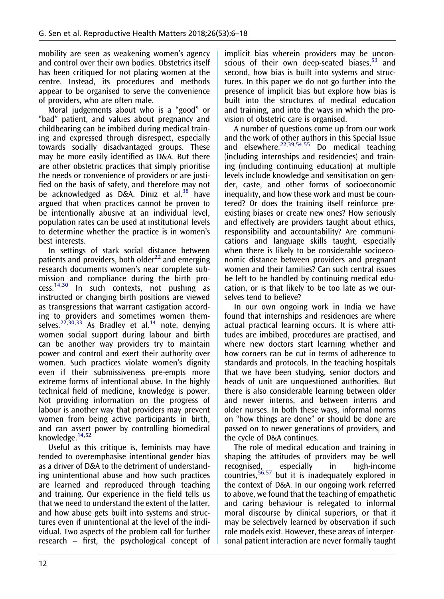<span id="page-7-0"></span>mobility are seen as weakening women's agency and control over their own bodies. Obstetrics itself has been critiqued for not placing women at the centre. Instead, its procedures and methods appear to be organised to serve the convenience of providers, who are often male.

Moral judgements about who is a "good" or "bad" patient, and values about pregnancy and childbearing can be imbibed during medical training and expressed through disrespect, especially towards socially disadvantaged groups. These may be more easily identified as D&A. But there are other obstetric practices that simply prioritise the needs or convenience of providers or are justified on the basis of safety, and therefore may not be acknowledged as D&A. Diniz et al. $38$  have argued that when practices cannot be proven to be intentionally abusive at an individual level, population rates can be used at institutional levels to determine whether the practice is in women's best interests.

In settings of stark social distance between patients and providers, both older<sup>[22](#page-11-0)</sup> and emerging research documents women's near complete submission and compliance during the birth pro- $\frac{14,30}{14,30}$  $\frac{14,30}{14,30}$  $\frac{14,30}{14,30}$  $\frac{14,30}{14,30}$  In such contexts, not pushing as instructed or changing birth positions are viewed as transgressions that warrant castigation according to providers and sometimes women them-selves.<sup>[22,30,33](#page-11-0)</sup> As Bradley et al.<sup>[14](#page-10-0)</sup> note, denying women social support during labour and birth can be another way providers try to maintain power and control and exert their authority over women. Such practices violate women's dignity even if their submissiveness pre-empts more extreme forms of intentional abuse. In the highly technical field of medicine, knowledge is power. Not providing information on the progress of labour is another way that providers may prevent women from being active participants in birth, and can assert power by controlling biomedical knowledge.[14](#page-10-0)[,52](#page-12-0)

Useful as this critique is, feminists may have tended to overemphasise intentional gender bias as a driver of D&A to the detriment of understanding unintentional abuse and how such practices are learned and reproduced through teaching and training. Our experience in the field tells us that we need to understand the extent of the latter, and how abuse gets built into systems and structures even if unintentional at the level of the individual. Two aspects of the problem call for further research – first, the psychological concept of implicit bias wherein providers may be unconscious of their own deep-seated biases. $53$  and second, how bias is built into systems and structures. In this paper we do not go further into the presence of implicit bias but explore how bias is built into the structures of medical education and training, and into the ways in which the provision of obstetric care is organised.

A number of questions come up from our work and the work of other authors in this Special Issue and elsewhere. $22,39,54,55$  $22,39,54,55$  Do medical teaching (including internships and residencies) and training (including continuing education) at multiple levels include knowledge and sensitisation on gender, caste, and other forms of socioeconomic inequality, and how these work and must be countered? Or does the training itself reinforce preexisting biases or create new ones? How seriously and effectively are providers taught about ethics, responsibility and accountability? Are communications and language skills taught, especially when there is likely to be considerable socioeconomic distance between providers and pregnant women and their families? Can such central issues be left to be handled by continuing medical education, or is that likely to be too late as we ourselves tend to believe?

In our own ongoing work in India we have found that internships and residencies are where actual practical learning occurs. It is where attitudes are imbibed, procedures are practised, and where new doctors start learning whether and how corners can be cut in terms of adherence to standards and protocols. In the teaching hospitals that we have been studying, senior doctors and heads of unit are unquestioned authorities. But there is also considerable learning between older and newer interns, and between interns and older nurses. In both these ways, informal norms on "how things are done" or should be done are passed on to newer generations of providers, and the cycle of D&A continues.

The role of medical education and training in shaping the attitudes of providers may be well recognised, especially in high-income countries,<sup>[56,57](#page-12-0)</sup> but it is inadequately explored in the context of D&A. In our ongoing work referred to above, we found that the teaching of empathetic and caring behaviour is relegated to informal moral discourse by clinical superiors, or that it may be selectively learned by observation if such role models exist. However, these areas of interpersonal patient interaction are never formally taught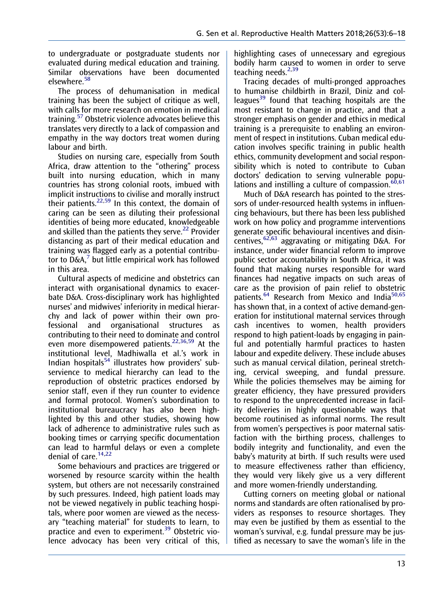<span id="page-8-0"></span>to undergraduate or postgraduate students nor evaluated during medical education and training. Similar observations have been documented elsewhere.[58](#page-12-0)

The process of dehumanisation in medical training has been the subject of critique as well, with calls for more research on emotion in medical training.[57](#page-12-0) Obstetric violence advocates believe this translates very directly to a lack of compassion and empathy in the way doctors treat women during labour and birth.

Studies on nursing care, especially from South Africa, draw attention to the "othering" process built into nursing education, which in many countries has strong colonial roots, imbued with implicit instructions to civilise and morally instruct their patients. $22,59$  $22,59$  In this context, the domain of caring can be seen as diluting their professional identities of being more educated, knowledgeable and skilled than the patients they serve.<sup>[22](#page-11-0)</sup> Provider distancing as part of their medical education and training was flagged early as a potential contributor to  $D\&A$ , $\bar{O}$  but little empirical work has followed in this area.

Cultural aspects of medicine and obstetrics can interact with organisational dynamics to exacerbate D&A. Cross-disciplinary work has highlighted nurses' and midwives' inferiority in medical hierarchy and lack of power within their own professional and organisational structures as contributing to their need to dominate and control even more disempowered patients[.22,36,](#page-11-0)[59](#page-12-0) At the institutional level, Madhiwalla et al.'s work in Indian hospitals<sup>[54](#page-12-0)</sup> illustrates how providers' subservience to medical hierarchy can lead to the reproduction of obstetric practices endorsed by senior staff, even if they run counter to evidence and formal protocol. Women's subordination to institutional bureaucracy has also been highlighted by this and other studies, showing how lack of adherence to administrative rules such as booking times or carrying specific documentation can lead to harmful delays or even a complete denial of care. $14,22$  $14,22$ 

Some behaviours and practices are triggered or worsened by resource scarcity within the health system, but others are not necessarily constrained by such pressures. Indeed, high patient loads may not be viewed negatively in public teaching hospitals, where poor women are viewed as the necessary "teaching material" for students to learn, to practice and even to experiment.<sup>39</sup> Obstetric violence advocacy has been very critical of this,

highlighting cases of unnecessary and egregious bodily harm caused to women in order to serve teaching needs.<sup>[2](#page-10-0)[,39](#page-11-0)</sup>

Tracing decades of multi-pronged approaches to humanise childbirth in Brazil, Diniz and col-leagues<sup>[39](#page-11-0)</sup> found that teaching hospitals are the most resistant to change in practice, and that a stronger emphasis on gender and ethics in medical training is a prerequisite to enabling an environment of respect in institutions. Cuban medical education involves specific training in public health ethics, community development and social responsibility which is noted to contribute to Cuban doctors' dedication to serving vulnerable populations and instilling a culture of compassion. $60,61$ 

Much of D&A research has pointed to the stressors of under-resourced health systems in influencing behaviours, but there has been less published work on how policy and programme interventions generate specific behavioural incentives and disincentives,  $62,63$  aggravating or mitigating D&A. For instance, under wider financial reform to improve public sector accountability in South Africa, it was found that making nurses responsible for ward finances had negative impacts on such areas of care as the provision of pain relief to obstetric patients.<sup>[64](#page-12-0)</sup> Research from Mexico and India<sup>[50,65](#page-12-0)</sup> has shown that, in a context of active demand-generation for institutional maternal services through cash incentives to women, health providers respond to high patient-loads by engaging in painful and potentially harmful practices to hasten labour and expedite delivery. These include abuses such as manual cervical dilation, perineal stretching, cervical sweeping, and fundal pressure. While the policies themselves may be aiming for greater efficiency, they have pressured providers to respond to the unprecedented increase in facility deliveries in highly questionable ways that become routinised as informal norms. The result from women's perspectives is poor maternal satisfaction with the birthing process, challenges to bodily integrity and functionality, and even the baby's maturity at birth. If such results were used to measure effectiveness rather than efficiency, they would very likely give us a very different and more women-friendly understanding.

Cutting corners on meeting global or national norms and standards are often rationalised by providers as responses to resource shortages. They may even be justified by them as essential to the woman's survival, e.g. fundal pressure may be justified as necessary to save the woman's life in the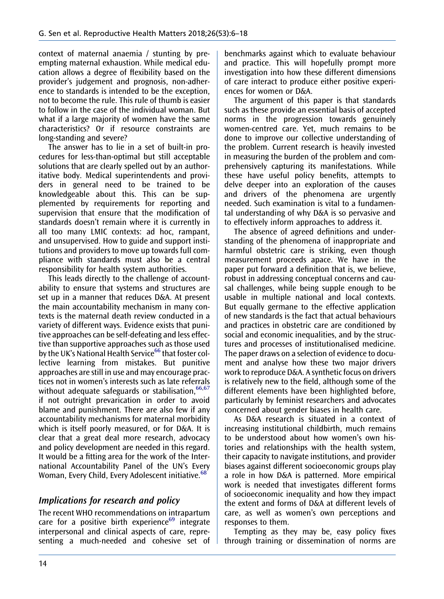<span id="page-9-0"></span>context of maternal anaemia / stunting by preempting maternal exhaustion. While medical education allows a degree of flexibility based on the provider's judgement and prognosis, non-adherence to standards is intended to be the exception, not to become the rule. This rule of thumb is easier to follow in the case of the individual woman. But what if a large majority of women have the same characteristics? Or if resource constraints are long-standing and severe?

The answer has to lie in a set of built-in procedures for less-than-optimal but still acceptable solutions that are clearly spelled out by an authoritative body. Medical superintendents and providers in general need to be trained to be knowledgeable about this. This can be supplemented by requirements for reporting and supervision that ensure that the modification of standards doesn't remain where it is currently in all too many LMIC contexts: ad hoc, rampant, and unsupervised. How to guide and support institutions and providers to move up towards full compliance with standards must also be a central responsibility for health system authorities.

This leads directly to the challenge of accountability to ensure that systems and structures are set up in a manner that reduces D&A. At present the main accountability mechanism in many contexts is the maternal death review conducted in a variety of different ways. Evidence exists that punitive approaches can be self-defeating and less effective than supportive approaches such as those used by the UK's National Health Service<sup>[66](#page-12-0)</sup> that foster collective learning from mistakes. But punitive approaches are still in use and may encourage practices not in women's interests such as late referrals without adequate safeguards or stabilisation.  $66,67$ if not outright prevarication in order to avoid blame and punishment. There are also few if any accountability mechanisms for maternal morbidity which is itself poorly measured, or for D&A. It is clear that a great deal more research, advocacy and policy development are needed in this regard. It would be a fitting area for the work of the International Accountability Panel of the UN's Every Woman, Every Child, Every Adolescent initiative.<sup>[68](#page-12-0)</sup>

## Implications for research and policy

The recent WHO recommendations on intrapartum care for a positive birth experience $69$  integrate interpersonal and clinical aspects of care, representing a much-needed and cohesive set of

benchmarks against which to evaluate behaviour and practice. This will hopefully prompt more investigation into how these different dimensions of care interact to produce either positive experiences for women or D&A.

The argument of this paper is that standards such as these provide an essential basis of accepted norms in the progression towards genuinely women-centred care. Yet, much remains to be done to improve our collective understanding of the problem. Current research is heavily invested in measuring the burden of the problem and comprehensively capturing its manifestations. While these have useful policy benefits, attempts to delve deeper into an exploration of the causes and drivers of the phenomena are urgently needed. Such examination is vital to a fundamental understanding of why D&A is so pervasive and to effectively inform approaches to address it.

The absence of agreed definitions and understanding of the phenomena of inappropriate and harmful obstetric care is striking, even though measurement proceeds apace. We have in the paper put forward a definition that is, we believe, robust in addressing conceptual concerns and causal challenges, while being supple enough to be usable in multiple national and local contexts. But equally germane to the effective application of new standards is the fact that actual behaviours and practices in obstetric care are conditioned by social and economic inequalities, and by the structures and processes of institutionalised medicine. The paper draws on a selection of evidence to document and analyse how these two major drivers work to reproduce D&A. A synthetic focus on drivers is relatively new to the field, although some of the different elements have been highlighted before, particularly by feminist researchers and advocates concerned about gender biases in health care.

As D&A research is situated in a context of increasing institutional childbirth, much remains to be understood about how women's own histories and relationships with the health system, their capacity to navigate institutions, and provider biases against different socioeconomic groups play a role in how D&A is patterned. More empirical work is needed that investigates different forms of socioeconomic inequality and how they impact the extent and forms of D&A at different levels of care, as well as women's own perceptions and responses to them.

Tempting as they may be, easy policy fixes through training or dissemination of norms are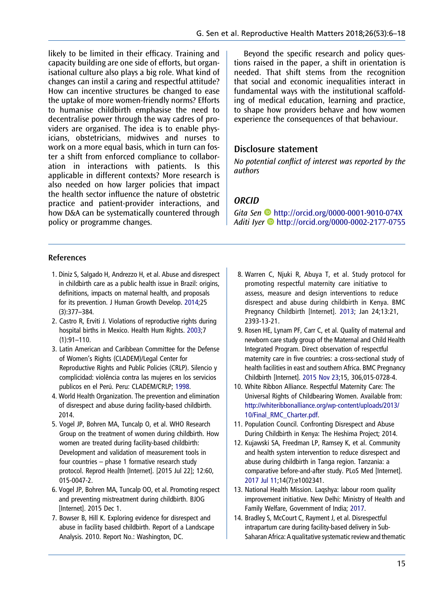<span id="page-10-0"></span>likely to be limited in their efficacy. Training and capacity building are one side of efforts, but organisational culture also plays a big role. What kind of changes can instil a caring and respectful attitude? How can incentive structures be changed to ease the uptake of more women-friendly norms? Efforts to humanise childbirth emphasise the need to decentralise power through the way cadres of providers are organised. The idea is to enable physicians, obstetricians, midwives and nurses to work on a more equal basis, which in turn can foster a shift from enforced compliance to collaboration in interactions with patients. Is this applicable in different contexts? More research is also needed on how larger policies that impact the health sector influence the nature of obstetric practice and patient-provider interactions, and how D&A can be systematically countered through policy or programme changes.

#### References

- 1. Diniz S, Salgado H, Andrezzo H, et al. Abuse and disrespect in childbirth care as a public health issue in Brazil: origins, definitions, impacts on maternal health, and proposals for its prevention. J Human Growth Develop. [2014](#page-1-0);25 (3):377–384.
- 2. Castro R, Erviti J. Violations of reproductive rights during hospital births in Mexico. Health Hum Rights. [2003](#page-3-0);7  $(1):91-110.$
- 3. Latin American and Caribbean Committee for the Defense of Women's Rights (CLADEM)/Legal Center for Reproductive Rights and Public Policies (CRLP). Silencio y complicidad: violência contra las mujeres en los servicios publicos en el Perú. Peru: CLADEM/CRLP; 1998.
- 4. World Health Organization. The prevention and elimination of disrespect and abuse during facility-based childbirth. 2014.
- 5. Vogel JP, Bohren MA, Tuncalp O, et al. WHO Research Group on the treatment of women during childbirth. How women are treated during facility-based childbirth: Development and validation of measurement tools in four countries – phase 1 formative research study protocol. Reprod Health [Internet]. [2015 Jul 22]; 12:60, 015-0047-2.
- 6. Vogel JP, Bohren MA, Tuncalp OO, et al. Promoting respect and preventing mistreatment during childbirth. BJOG [Internet]. 2015 Dec 1.
- 7. Bowser B, Hill K. Exploring evidence for disrespect and abuse in facility based childbirth. Report of a Landscape Analysis. 2010. Report No.: Washington, DC.

Beyond the specific research and policy questions raised in the paper, a shift in orientation is needed. That shift stems from the recognition that social and economic inequalities interact in fundamental ways with the institutional scaffolding of medical education, learning and practice, to shape how providers behave and how women experience the consequences of that behaviour.

#### Disclosure statement

No potential conflict of interest was reported by the authors

#### **ORCID**

Gita Sen <http://orcid.org/0000-0001-9010-074X> Aditi Iyer <http://orcid.org/0000-0002-2177-0755>

- 8. Warren C, Njuki R, Abuya T, et al. Study protocol for promoting respectful maternity care initiative to assess, measure and design interventions to reduce disrespect and abuse during childbirth in Kenya. BMC Pregnancy Childbirth [Internet]. [2013;](#page-1-0) Jan 24;13:21, 2393-13-21.
- 9. Rosen HE, Lynam PF, Carr C, et al. Quality of maternal and newborn care study group of the Maternal and Child Health Integrated Program. Direct observation of respectful maternity care in five countries: a cross-sectional study of health facilities in east and southern Africa. BMC Pregnancy Childbirth [Internet]. 2015 Nov 23;15, 306,015-0728-4.
- 10. White Ribbon Alliance. Respectful Maternity Care: The Universal Rights of Childbearing Women. Available from: [http://whiteribbonalliance.org/wp-content/uploads/2013/](http://www.whiteribbonalliance.org/wp-content/uploads/2013/10/Final_RMC_Charter.pdf) [10/Final\\_RMC\\_Charter.pdf](http://www.whiteribbonalliance.org/wp-content/uploads/2013/10/Final_RMC_Charter.pdf).
- 11. Population Council. Confronting Disrespect and Abuse During Childbirth in Kenya: The Heshima Project; 2014.
- 12. Kujawski SA, Freedman LP, Ramsey K, et al. Community and health system intervention to reduce disrespect and abuse during childbirth in Tanga region. Tanzania: a comparative before-and-after study. PLoS Med [Internet]. 2017 Jul 11;14(7):e1002341.
- 13. National Health Mission. Laqshya: labour room quality improvement initiative. New Delhi: Ministry of Health and Family Welfare, Government of India; 2017.
- 14. Bradley S, McCourt C, Rayment J, et al. Disrespectful intrapartum care during facility-based delivery in Sub-Saharan Africa: A qualitative systematic review and thematic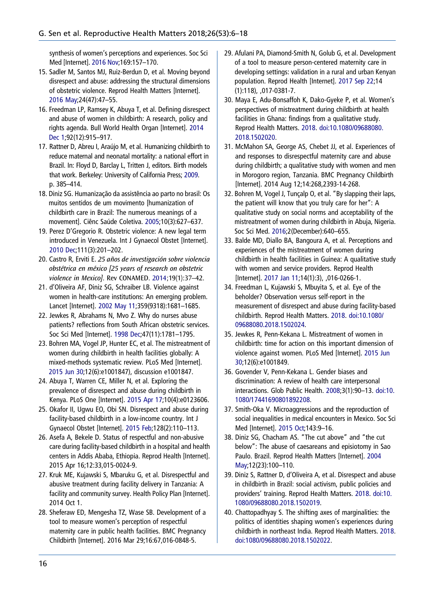<span id="page-11-0"></span>synthesis of women's perceptions and experiences. Soc Sci Med [Internet]. [2016 Nov](#page-1-0);169:157–170.

- 15. Sadler M, Santos MJ, Ruiz-Berdun D, et al. Moving beyond disrespect and abuse: addressing the structural dimensions of obstetric violence. Reprod Health Matters [Internet]. [2016 May;](#page-1-0)24(47):47–55.
- 16. Freedman LP, Ramsey K, Abuya T, et al. Defining disrespect and abuse of women in childbirth: A research, policy and rights agenda. Bull World Health Organ [Internet]. [2014](#page-2-0) [Dec 1](#page-2-0);92(12):915–917.
- 17. Rattner D, Abreu I, Araújo M, et al. Humanizing childbirth to reduce maternal and neonatal mortality: a national effort in Brazil. In: Floyd D, Barclay L, Tritten J, editors. Birth models that work. Berkeley: University of California Press; [2009](#page-2-0). p. 385–414.
- 18. Diniz SG. Humanização da assistência ao parto no brasil: Os muitos sentidos de um movimento [humanization of childbirth care in Brazil: The numerous meanings of a movement]. Ciênc Saúde Coletiva. [2005;](#page-2-0)10(3):627–637.
- 19. Perez D'Gregorio R. Obstetric violence: A new legal term introduced in Venezuela. Int J Gynaecol Obstet [Internet]. [2010 Dec;](#page-2-0)111(3):201–202.
- 20. Castro R, Erviti E. 25 años de investigación sobre violencia obstétrica en méxico [25 years of research on obstetric violence in Mexico]. Rev CONAMED. [2014;](#page-2-0)19(1):37–42.
- 21. d'Oliveira AF, Diniz SG, Schraiber LB. Violence against women in health-care institutions: An emerging problem. Lancet [Internet]. [2002 May 11](#page-3-0);359(9318):1681–1685.
- 22. Jewkes R, Abrahams N, Mvo Z. Why do nurses abuse patients? reflections from South African obstetric services. Soc Sci Med [Internet]. [1998 Dec;](#page-3-0)47(11):1781–1795.
- 23. Bohren MA, Vogel JP, Hunter EC, et al. The mistreatment of women during childbirth in health facilities globally: A mixed-methods systematic review. PLoS Med [Internet]. [2015 Jun 30;](#page-4-0)12(6):e1001847), discussion e1001847.
- 24. Abuya T, Warren CE, Miller N, et al. Exploring the prevalence of disrespect and abuse during childbirth in Kenya. PLoS One [Internet]. [2015 Apr 17;](#page-4-0)10(4):e0123606.
- 25. Okafor II, Ugwu EO, Obi SN. Disrespect and abuse during facility-based childbirth in a low-income country. Int J Gynaecol Obstet [Internet]. [2015 Feb](#page-4-0);128(2):110–113.
- 26. Asefa A, Bekele D. Status of respectful and non-abusive care during facility-based childbirth in a hospital and health centers in Addis Ababa, Ethiopia. Reprod Health [Internet]. 2015 Apr 16;12:33,015-0024-9.
- 27. Kruk ME, Kujawski S, Mbaruku G, et al. Disrespectful and abusive treatment during facility delivery in Tanzania: A facility and community survey. Health Policy Plan [Internet]. 2014 Oct 1.
- 28. Sheferaw ED, Mengesha TZ, Wase SB. Development of a tool to measure women's perception of respectful maternity care in public health facilities. BMC Pregnancy Childbirth [Internet]. 2016 Mar 29;16:67,016-0848-5.
- 29. Afulani PA, Diamond-Smith N, Golub G, et al. Development of a tool to measure person-centered maternity care in developing settings: validation in a rural and urban Kenyan population. Reprod Health [Internet]. 2017 Sep 22;14 (1):118), ,017-0381-7.
- 30. Maya E, Adu-Bonsaffoh K, Dako-Gyeke P, et al. Women's perspectives of mistreatment during childbirth at health facilities in Ghana: findings from a qualitative study. Reprod Health Matters. [2018.](#page-5-0) [doi:10.1080/09688080.](https://doi.org/10.1080/09688080.2018.1502020) [2018.1502020](https://doi.org/10.1080/09688080.2018.1502020).
- 31. McMahon SA, George AS, Chebet JJ, et al. Experiences of and responses to disrespectful maternity care and abuse during childbirth; a qualitative study with women and men in Morogoro region, Tanzania. BMC Pregnancy Childbirth [Internet]. 2014 Aug 12;14:268,2393-14-268.
- 32. Bohren M, Vogel J, Tunçalp O, et al. "By slapping their laps, the patient will know that you truly care for her": A qualitative study on social norms and acceptability of the mistreatment of women during childbirth in Abuja, Nigeria. Soc Sci Med. 2016;2(December):640–655.
- 33. Balde MD, Diallo BA, Bangoura A, et al. Perceptions and experiences of the mistreatment of women during childbirth in health facilities in Guinea: A qualitative study with women and service providers. Reprod Health [Internet]. [2017 Jan 11;](#page-5-0)14(1):3), ,016-0266-1.
- 34. Freedman L, Kujawski S, Mbuyita S, et al. Eye of the beholder? Observation versus self-report in the measurement of disrespect and abuse during facility-based childbirth. Reprod Health Matters. [2018](#page-4-0). [doi:10.1080/](https://doi.org/10.1080/09688080.2018.1502024) [09688080.2018.1502024.](https://doi.org/10.1080/09688080.2018.1502024)
- 35. Jewkes R, Penn-Kekana L. Mistreatment of women in childbirth: time for action on this important dimension of violence against women. PLoS Med [Internet]. [2015 Jun](#page-4-0) [30](#page-4-0);12(6):e1001849.
- 36. Govender V, Penn-Kekana L. Gender biases and discrimination: A review of health care interpersonal interactions. Glob Public Health. [2008;](#page-4-0)3(1):90–13. [doi:10.](https://doi.org/10.1080/17441690801892208) [1080/17441690801892208.](https://doi.org/10.1080/17441690801892208)
- 37. Smith-Oka V. Microaggressions and the reproduction of social inequalities in medical encounters in Mexico. Soc Sci Med [Internet]. [2015 Oct](#page-5-0);143:9–16.
- 38. Diniz SG, Chacham AS. "The cut above" and "the cut below": The abuse of caesareans and episiotomy in Sao Paulo. Brazil. Reprod Health Matters [Internet]. [2004](#page-5-0) [May](#page-5-0);12(23):100–110.
- 39. Diniz S, Rattner D, d'Oliveira A, et al. Disrespect and abuse in childbirth in Brazil: social activism, public policies and providers' training. Reprod Health Matters. [2018.](#page-5-0) [doi:10.](https://doi.org/10.1080/09688080.2018.1502019) [1080/09688080.2018.1502019.](https://doi.org/10.1080/09688080.2018.1502019)
- 40. Chattopadhyay S. The shifting axes of marginalities: the politics of identities shaping women's experiences during childbirth in northeast India. Reprod Health Matters. [2018.](#page-5-0) [doi:1080/09688080.2018.1502022](https://doi.org/1080/09688080.2018.1502022).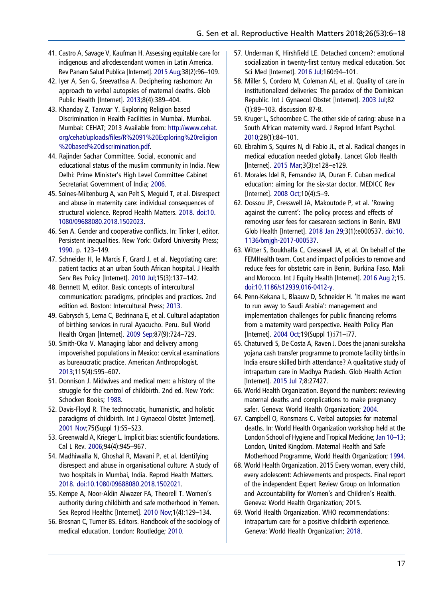- <span id="page-12-0"></span>41. Castro A, Savage V, Kaufman H. Assessing equitable care for indigenous and afrodescendant women in Latin America. Rev Panam Salud Publica [Internet]. [2015 Aug;](#page-5-0)38(2):96–109.
- 42. Iyer A, Sen G, Sreevathsa A. Deciphering rashomon: An approach to verbal autopsies of maternal deaths. Glob Public Health [Internet]. [2013](#page-5-0);8(4):389–404.
- 43. Khanday Z, Tanwar Y. Exploring Religion based Discrimination in Health Facilities in Mumbai. Mumbai. Mumbai: CEHAT; 2013 Available from: [http://www.cehat.](http://www.cehat.org/cehat/uploads/files/R%2091%20Exploring%20religion%20based%20discrimination.pdf) org/cehat/uploads/fi[les/R%2091%20Exploring%20religion](http://www.cehat.org/cehat/uploads/files/R%2091%20Exploring%20religion%20based%20discrimination.pdf) [%20based%20discrimination.pdf.](http://www.cehat.org/cehat/uploads/files/R%2091%20Exploring%20religion%20based%20discrimination.pdf)
- 44. Rajinder Sachar Committee. Social, economic and educational status of the muslim community in India. New Delhi: Prime Minister's High Level Committee Cabinet Secretariat Government of India; [2006.](#page-5-0)
- 45. Solnes-Miltenburg A, van Pelt S, Meguid T, et al. Disrespect and abuse in maternity care: individual consequences of structural violence. Reprod Health Matters. [2018.](#page-5-0) [doi:10.](https://doi.org/10.1080/09688080.2018.1502023) [1080/09688080.2018.1502023.](https://doi.org/10.1080/09688080.2018.1502023)
- 46. Sen A. Gender and cooperative conflicts. In: Tinker I, editor. Persistent inequalities. New York: Oxford University Press; [1990](#page-6-0). p. 123–149.
- 47. Schneider H, le Marcis F, Grard J, et al. Negotiating care: patient tactics at an urban South African hospital. J Health Serv Res Policy [Internet]. [2010 Jul;](#page-6-0)15(3):137–142.
- 48. Bennett M, editor. Basic concepts of intercultural communication: paradigms, principles and practices. 2nd edition ed. Boston: Intercultural Press; [2013.](#page-6-0)
- 49. Gabrysch S, Lema C, Bedrinana E, et al. Cultural adaptation of birthing services in rural Ayacucho. Peru. Bull World Health Organ [Internet]. [2009 Sep](#page-6-0);87(9):724–729.
- 50. Smith-Oka V. Managing labor and delivery among impoverished populations in Mexico: cervical examinations as bureaucratic practice. American Anthropologist. [2013;](#page-6-0)115(4):595–607.
- 51. Donnison J. Midwives and medical men: a history of the struggle for the control of childbirth. 2nd ed. New York: Schocken Books; [1988](#page-6-0).
- 52. Davis-Floyd R. The technocratic, humanistic, and holistic paradigms of childbirth. Int J Gynaecol Obstet [Internet]. [2001 Nov](#page-6-0);75(Suppl 1):S5–S23.
- 53. Greenwald A, Krieger L. Implicit bias: scientific foundations. Cal L Rev. [2006](#page-7-0);94(4):945–967.
- 54. Madhiwalla N, Ghoshal R, Mavani P, et al. Identifying disrespect and abuse in organisational culture: A study of two hospitals in Mumbai, India. Reprod Health Matters. [2018.](#page-7-0) [doi:10.1080/09688080.2018.1502021](https://doi.org/10.1080/09688080.2018.1502021).
- 55. Kempe A, Noor-Aldin Alwazer FA, Theorell T. Women's authority during childbirth and safe motherhood in Yemen. Sex Reprod Healthc [Internet]. [2010 Nov;](#page-7-0)1(4):129–134.
- 56. Brosnan C, Turner BS. Editors. Handbook of the sociology of medical education. London: Routledge; [2010.](#page-7-0)
- 57. Underman K, Hirshfield LE. Detached concern?: emotional socialization in twenty-first century medical education. Soc Sci Med [Internet]. [2016 Jul;](#page-7-0)160:94–101.
- 58. Miller S, Cordero M, Coleman AL, et al. Quality of care in institutionalized deliveries: The paradox of the Dominican Republic. Int J Gynaecol Obstet [Internet]. [2003 Jul](#page-8-0);82 (1):89–103. discussion 87-8.
- 59. Kruger L, Schoombee C. The other side of caring: abuse in a South African maternity ward. J Reprod Infant Psychol. [2010](#page-8-0);28(1):84–101.
- 60. Ebrahim S, Squires N, di Fabio JL, et al. Radical changes in medical education needed globally. Lancet Glob Health [Internet]. [2015 Mar](#page-8-0);3(3):e128–e129.
- 61. Morales Idel R, Fernandez JA, Duran F. Cuban medical education: aiming for the six-star doctor. MEDICC Rev [Internet]. [2008 Oct;](#page-8-0)10(4):5–9.
- 62. Dossou JP, Cresswell JA, Makoutode P, et al. 'Rowing against the current': The policy process and effects of removing user fees for caesarean sections in Benin. BMJ Glob Health [Internet]. [2018 Jan 29](#page-8-0);3(1):e000537. [doi:10.](https://doi.org/10.1136/bmjgh-2017-000537) [1136/bmjgh-2017-000537.](https://doi.org/10.1136/bmjgh-2017-000537)
- 63. Witter S, Boukhalfa C, Cresswell JA, et al. On behalf of the FEMHealth team. Cost and impact of policies to remove and reduce fees for obstetric care in Benin, Burkina Faso. Mali and Morocco. Int J Equity Health [Internet]. [2016 Aug 2](#page-8-0);15. [doi:10.1186/s12939,016-0412-y](https://doi.org/10.1186/s12939,016-0412-y).
- 64. Penn-Kekana L, Blaauw D, Schneider H. 'It makes me want to run away to Saudi Arabia': management and implementation challenges for public financing reforms from a maternity ward perspective. Health Policy Plan [Internet]. [2004 Oct](#page-8-0);19(Suppl 1):i71–i77.
- 65. Chaturvedi S, De Costa A, Raven J. Does the janani suraksha yojana cash transfer programme to promote facility births in India ensure skilled birth attendance? A qualitative study of intrapartum care in Madhya Pradesh. Glob Health Action [Internet]. [2015 Jul 7](#page-8-0);8:27427.
- 66. World Health Organization. Beyond the numbers: reviewing maternal deaths and complications to make pregnancy safer. Geneva: World Health Organization; [2004](#page-9-0).
- 67. Campbell O, Ronsmans C. Verbal autopsies for maternal deaths. In: World Health Organization workshop held at the London School of Hygiene and Tropical Medicine; [Jan 10](#page-9-0)–13; London, United Kingdom. Maternal Health and Safe Motherhood Programme, World Health Organization; [1994](#page-9-0).
- 68. World Health Organization. 2015 Every woman, every child, every adolescent: Achievements and prospects. Final report of the independent Expert Review Group on Information and Accountability for Women's and Children's Health. Geneva: World Health Organization; 2015.
- 69. World Health Organization. WHO recommendations: intrapartum care for a positive childbirth experience. Geneva: World Health Organization; [2018.](#page-9-0)